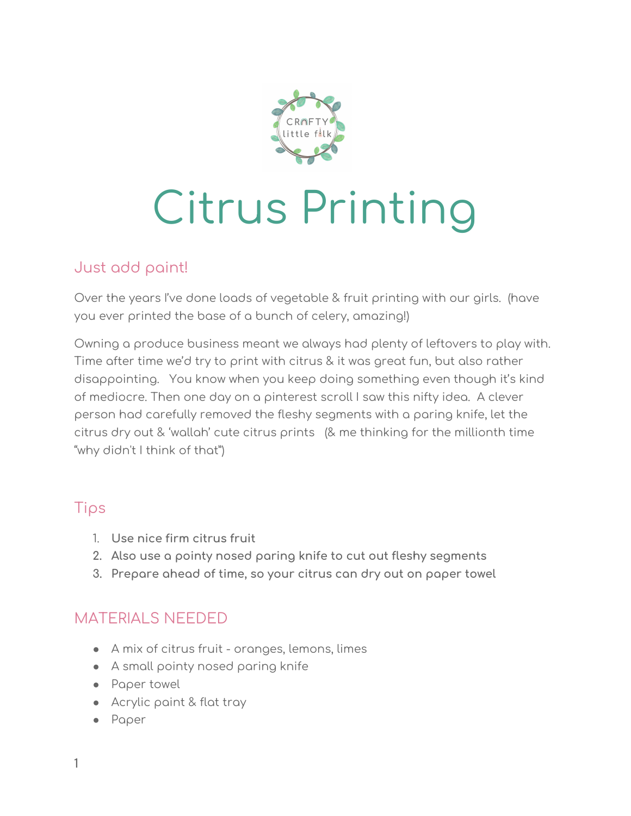

# Citrus Printing

# Just add paint!

Over the years I've done loads of vegetable & fruit printing with our girls. (have you ever printed the base of a bunch of celery, amazing!)

Owning a produce business meant we always had plenty of leftovers to play with. Time after time we'd try to print with citrus & it was great fun, but also rather disappointing. You know when you keep doing something even though it's kind of mediocre. Then one day on a pinterest scroll I saw this nifty idea. A clever person had carefully removed the fleshy segments with a paring knife, let the citrus dry out & 'wallah' cute citrus prints (& me thinking for the millionth time "why didn't I think of that")

#### Tips

- 1. **Use nice firm citrus fruit**
- **2. Also use a pointy nosed paring knife to cut out fleshy segments**
- **3. Prepare ahead of time, so your citrus can dry out on paper towel**

# MATERIALS NEEDED

- A mix of citrus fruit oranges, lemons, limes
- A small pointy nosed paring knife
- Paper towel
- Acrylic paint & flat tray
- Paper